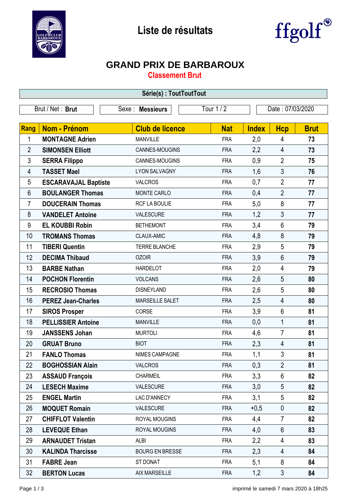



## **GRAND PRIX DE BARBAROUX**

**Classement Brut**

| Série(s): ToutToutTout |                             |                        |            |                  |                |             |  |  |  |
|------------------------|-----------------------------|------------------------|------------|------------------|----------------|-------------|--|--|--|
| Brut / Net: Brut       |                             | Sexe : Messieurs       | Tour 1 / 2 | Date: 07/03/2020 |                |             |  |  |  |
|                        |                             |                        |            |                  |                |             |  |  |  |
| <b>Rang</b>            | <b>Nom - Prénom</b>         | <b>Club de licence</b> | <b>Nat</b> | <b>Index</b>     | <b>Hcp</b>     | <b>Brut</b> |  |  |  |
| 1                      | <b>MONTAGNE Adrien</b>      | <b>MANVILLE</b>        | <b>FRA</b> | 2,0              | 4              | 73          |  |  |  |
| $\overline{2}$         | <b>SIMONSEN Elliott</b>     | CANNES-MOUGINS         | <b>FRA</b> | 2,2              | $\overline{4}$ | 73          |  |  |  |
| 3                      | <b>SERRA Filippo</b>        | CANNES-MOUGINS         | <b>FRA</b> | 0,9              | $\overline{2}$ | 75          |  |  |  |
| 4                      | <b>TASSET Mael</b>          | LYON SALVAGNY          | <b>FRA</b> | 1,6              | 3              | 76          |  |  |  |
| 5                      | <b>ESCARAVAJAL Baptiste</b> | <b>VALCROS</b>         | <b>FRA</b> | 0,7              | $\overline{2}$ | 77          |  |  |  |
| 6                      | <b>BOULANGER Thomas</b>     | MONTE CARLO            | <b>FRA</b> | 0,4              | $\overline{2}$ | 77          |  |  |  |
| 7                      | <b>DOUCERAIN Thomas</b>     | RCF LA BOULIE          | <b>FRA</b> | 5,0              | 8              | 77          |  |  |  |
| 8                      | <b>VANDELET Antoine</b>     | VALESCURE              | <b>FRA</b> | 1,2              | 3              | 77          |  |  |  |
| 9                      | <b>EL KOUBBI Robin</b>      | <b>BETHEMONT</b>       | <b>FRA</b> | 3,4              | $6\phantom{1}$ | 79          |  |  |  |
| 10                     | <b>TROMANS Thomas</b>       | CLAUX-AMIC             | <b>FRA</b> | 4,8              | 8              | 79          |  |  |  |
| 11                     | <b>TIBERI Quentin</b>       | <b>TERRE BLANCHE</b>   | <b>FRA</b> | 2,9              | 5              | 79          |  |  |  |
| 12                     | <b>DECIMA Thibaud</b>       | <b>OZOIR</b>           | <b>FRA</b> | 3,9              | $6\phantom{1}$ | 79          |  |  |  |
| 13                     | <b>BARBE Nathan</b>         | <b>HARDELOT</b>        | <b>FRA</b> | 2,0              | 4              | 79          |  |  |  |
| 14                     | <b>POCHON Florentin</b>     | <b>VOLCANS</b>         | <b>FRA</b> | 2,6              | 5              | 80          |  |  |  |
| 15                     | <b>RECROSIO Thomas</b>      | <b>DISNEYLAND</b>      | <b>FRA</b> | 2,6              | 5              | 80          |  |  |  |
| 16                     | <b>PEREZ Jean-Charles</b>   | <b>MARSEILLE SALET</b> | <b>FRA</b> | 2,5              | $\overline{4}$ | 80          |  |  |  |
| 17                     | <b>SIROS Prosper</b>        | CORSE                  | <b>FRA</b> | 3,9              | 6              | 81          |  |  |  |
| 18                     | <b>PELLISSIER Antoine</b>   | <b>MANVILLE</b>        | <b>FRA</b> | 0,0              | $\mathbf{1}$   | 81          |  |  |  |
| 19                     | <b>JANSSENS Johan</b>       | <b>MURTOLI</b>         | <b>FRA</b> | 4,6              | $\overline{7}$ | 81          |  |  |  |
| 20                     | <b>GRUAT Bruno</b>          | <b>BIOT</b>            | <b>FRA</b> | 2,3              | 4              | 81          |  |  |  |
| 21                     | <b>FANLO Thomas</b>         | NIMES CAMPAGNE         | <b>FRA</b> | 1,1              | 3              | 81          |  |  |  |
| 22                     | <b>BOGHOSSIAN Alain</b>     | <b>VALCROS</b>         | <b>FRA</b> | 0,3              | $\overline{2}$ | 81          |  |  |  |
| 23                     | <b>ASSAUD François</b>      | <b>CHARMEIL</b>        | <b>FRA</b> | 3,3              | 6              | 82          |  |  |  |
| 24                     | <b>LESECH Maxime</b>        | VALESCURE              | <b>FRA</b> | 3,0              | 5              | 82          |  |  |  |
| 25                     | <b>ENGEL Martin</b>         | LAC D'ANNECY           | <b>FRA</b> | 3,1              | 5              | 82          |  |  |  |
| 26                     | <b>MOQUET Romain</b>        | VALESCURE              | <b>FRA</b> | $+0,5$           | $\mathbf 0$    | 82          |  |  |  |
| 27                     | <b>CHIFFLOT Valentin</b>    | ROYAL MOUGINS          | <b>FRA</b> | 4,4              | $\overline{7}$ | 82          |  |  |  |
| 28                     | <b>LEVEQUE Ethan</b>        | ROYAL MOUGINS          | <b>FRA</b> | 4,0              | 6              | 83          |  |  |  |
| 29                     | <b>ARNAUDET Tristan</b>     | <b>ALBI</b>            | <b>FRA</b> | 2,2              | 4              | 83          |  |  |  |
| 30                     | <b>KALINDA Tharcisse</b>    | <b>BOURG EN BRESSE</b> | <b>FRA</b> | 2,3              | 4              | 84          |  |  |  |
| 31                     | <b>FABRE Jean</b>           | ST DONAT               | <b>FRA</b> | 5,1              | 8              | 84          |  |  |  |
| 32                     | <b>BERTON Lucas</b>         | <b>AIX MARSEILLE</b>   | <b>FRA</b> | 1,2              | $\mathfrak{Z}$ | 84          |  |  |  |